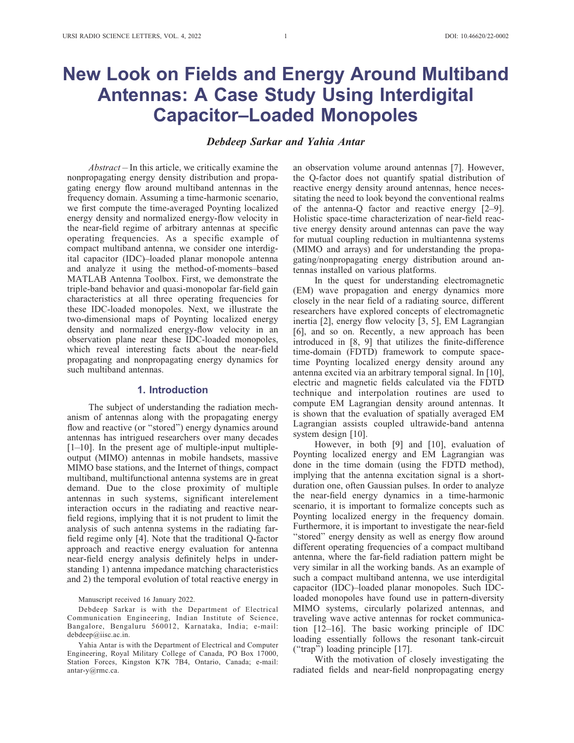# New Look on Fields and Energy Around Multiband Antennas: A Case Study Using Interdigital Capacitor–Loaded Monopoles

## Debdeep Sarkar and Yahia Antar

Abstract – In this article, we critically examine the nonpropagating energy density distribution and propagating energy flow around multiband antennas in the frequency domain. Assuming a time-harmonic scenario, we first compute the time-averaged Poynting localized energy density and normalized energy-flow velocity in the near-field regime of arbitrary antennas at specific operating frequencies. As a specific example of compact multiband antenna, we consider one interdigital capacitor (IDC)–loaded planar monopole antenna and analyze it using the method-of-moments–based MATLAB Antenna Toolbox. First, we demonstrate the triple-band behavior and quasi-monopolar far-field gain characteristics at all three operating frequencies for these IDC-loaded monopoles. Next, we illustrate the two-dimensional maps of Poynting localized energy density and normalized energy-flow velocity in an observation plane near these IDC-loaded monopoles, which reveal interesting facts about the near-field propagating and nonpropagating energy dynamics for such multiband antennas.

### 1. Introduction

The subject of understanding the radiation mechanism of antennas along with the propagating energy flow and reactive (or "stored") energy dynamics around antennas has intrigued researchers over many decades  $[1–10]$ . In the present age of multiple-input multipleoutput (MIMO) antennas in mobile handsets, massive MIMO base stations, and the Internet of things, compact multiband, multifunctional antenna systems are in great demand. Due to the close proximity of multiple antennas in such systems, significant interelement interaction occurs in the radiating and reactive nearfield regions, implying that it is not prudent to limit the analysis of such antenna systems in the radiating farfield regime only [4]. Note that the traditional Q-factor approach and reactive energy evaluation for antenna near-field energy analysis definitely helps in understanding 1) antenna impedance matching characteristics and 2) the temporal evolution of total reactive energy in

#### Manuscript received 16 January 2022.

Debdeep Sarkar is with the Department of Electrical Communication Engineering, Indian Institute of Science, Bangalore, Bengaluru 560012, Karnataka, India; e-mail: debdeep@iisc.ac.in.

an observation volume around antennas [7]. However, the Q-factor does not quantify spatial distribution of reactive energy density around antennas, hence necessitating the need to look beyond the conventional realms of the antenna-Q factor and reactive energy [2–9]. Holistic space-time characterization of near-field reactive energy density around antennas can pave the way for mutual coupling reduction in multiantenna systems (MIMO and arrays) and for understanding the propagating/nonpropagating energy distribution around antennas installed on various platforms.

In the quest for understanding electromagnetic (EM) wave propagation and energy dynamics more closely in the near field of a radiating source, different researchers have explored concepts of electromagnetic inertia [2], energy flow velocity [3, 5], EM Lagrangian [6], and so on. Recently, a new approach has been introduced in [8, 9] that utilizes the finite-difference time-domain (FDTD) framework to compute spacetime Poynting localized energy density around any antenna excited via an arbitrary temporal signal. In [10], electric and magnetic fields calculated via the FDTD technique and interpolation routines are used to compute EM Lagrangian density around antennas. It is shown that the evaluation of spatially averaged EM Lagrangian assists coupled ultrawide-band antenna system design [10].

However, in both [9] and [10], evaluation of Poynting localized energy and EM Lagrangian was done in the time domain (using the FDTD method), implying that the antenna excitation signal is a shortduration one, often Gaussian pulses. In order to analyze the near-field energy dynamics in a time-harmonic scenario, it is important to formalize concepts such as Poynting localized energy in the frequency domain. Furthermore, it is important to investigate the near-field "stored" energy density as well as energy flow around different operating frequencies of a compact multiband antenna, where the far-field radiation pattern might be very similar in all the working bands. As an example of such a compact multiband antenna, we use interdigital capacitor (IDC)–loaded planar monopoles. Such IDCloaded monopoles have found use in pattern-diversity MIMO systems, circularly polarized antennas, and traveling wave active antennas for rocket communication [12–16]. The basic working principle of IDC loading essentially follows the resonant tank-circuit (''trap'') loading principle [17].

With the motivation of closely investigating the radiated fields and near-field nonpropagating energy

Yahia Antar is with the Department of Electrical and Computer Engineering, Royal Military College of Canada, PO Box 17000, Station Forces, Kingston K7K 7B4, Ontario, Canada; e-mail: antar-y@rmc.ca.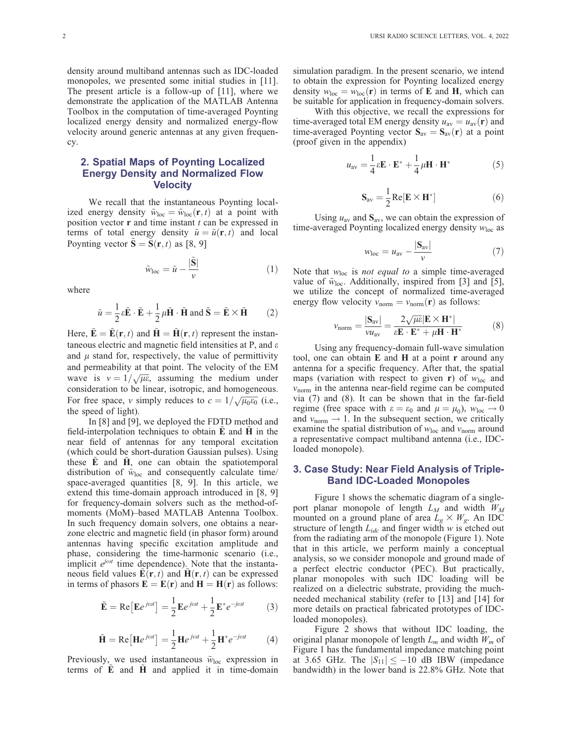density around multiband antennas such as IDC-loaded monopoles, we presented some initial studies in [11]. The present article is a follow-up of [11], where we demonstrate the application of the MATLAB Antenna Toolbox in the computation of time-averaged Poynting localized energy density and normalized energy-flow velocity around generic antennas at any given frequency.

# 2. Spatial Maps of Poynting Localized Energy Density and Normalized Flow **Velocity**

We recall that the instantaneous Poynting localized energy density  $\tilde{w}_{loc} = \tilde{w}_{loc}(\mathbf{r}, t)$  at a point with position vector  $\bf{r}$  and time instant  $t$  can be expressed in terms of total energy density  $\tilde{u} = \tilde{u}(\mathbf{r}, t)$  and local Poynting vector  $S = S(r, t)$  as [8, 9]

$$
\tilde{w}_{\text{loc}} = \tilde{u} - \frac{|\tilde{\mathbf{S}}|}{v} \tag{1}
$$

where

$$
\tilde{u} = \frac{1}{2}\varepsilon \tilde{\mathbf{E}} \cdot \tilde{\mathbf{E}} + \frac{1}{2}\mu \tilde{\mathbf{H}} \cdot \tilde{\mathbf{H}} \text{ and } \tilde{\mathbf{S}} = \tilde{\mathbf{E}} \times \tilde{\mathbf{H}} \qquad (2)
$$

Here,  $\mathbf{\hat{E}} = \mathbf{\hat{E}}(\mathbf{r}, t)$  and  $\mathbf{\hat{H}} = \mathbf{\hat{H}}(\mathbf{r}, t)$  represent the instantaneous electric and magnetic field intensities at P, and  $\varepsilon$ and  $\mu$  stand for, respectively, the value of permittivity and permeability at that point. The velocity of the EM wave is  $v = 1/\sqrt{\mu \epsilon}$ , assuming the medium under consideration to be linear, isotropic, and homogeneous. For free space, v simply reduces to  $c = 1/\sqrt{\mu_0 \epsilon_0}$  (i.e., the speed of light).

In [8] and [9], we deployed the FDTD method and field-interpolation techniques to obtain  $\hat{E}$  and  $\hat{H}$  in the near field of antennas for any temporal excitation (which could be short-duration Gaussian pulses). Using these  $E$  and  $H$ , one can obtain the spatiotemporal distribution of  $\tilde{w}_{\text{loc}}$  and consequently calculate time/ space-averaged quantities [8, 9]. In this article, we extend this time-domain approach introduced in [8, 9] for frequency-domain solvers such as the method-ofmoments (MoM)–based MATLAB Antenna Toolbox. In such frequency domain solvers, one obtains a nearzone electric and magnetic field (in phasor form) around antennas having specific excitation amplitude and phase, considering the time-harmonic scenario (i.e., implicit  $e^{j\omega t}$  time dependence). Note that the instantaneous field values  $E(\mathbf{r}, t)$  and  $H(\mathbf{r}, t)$  can be expressed in terms of phasors  $\mathbf{E} = \mathbf{E}(\mathbf{r})$  and  $\mathbf{H} = \mathbf{H}(\mathbf{r})$  as follows:

$$
\tilde{\mathbf{E}} = \text{Re}\left[\mathbf{E}e^{j\omega t}\right] = \frac{1}{2}\mathbf{E}e^{j\omega t} + \frac{1}{2}\mathbf{E}^*e^{-j\omega t} \tag{3}
$$

$$
\tilde{\mathbf{H}} = \text{Re} \left[ \mathbf{H} e^{j\omega t} \right] = \frac{1}{2} \mathbf{H} e^{j\omega t} + \frac{1}{2} \mathbf{H}^* e^{-j\omega t} \tag{4}
$$

Previously, we used instantaneous  $\tilde{w}_{loc}$  expression in terms of  $\tilde{E}$  and  $\tilde{H}$  and applied it in time-domain simulation paradigm. In the present scenario, we intend to obtain the expression for Poynting localized energy density  $w_{loc} = w_{loc}(\mathbf{r})$  in terms of **E** and **H**, which can be suitable for application in frequency-domain solvers.

With this objective, we recall the expressions for time-averaged total EM energy density  $u_{av} = u_{av}(\mathbf{r})$  and time-averaged Poynting vector  $S_{av} = S_{av}(r)$  at a point (proof given in the appendix)

$$
u_{\rm av} = \frac{1}{4}\varepsilon \mathbf{E} \cdot \mathbf{E}^* + \frac{1}{4}\mu \mathbf{H} \cdot \mathbf{H}^* \tag{5}
$$

$$
\mathbf{S}_{\text{av}} = \frac{1}{2} \text{Re}[\mathbf{E} \times \mathbf{H}^*]
$$
 (6)

Using  $u_{av}$  and  $S_{av}$ , we can obtain the expression of time-averaged Poynting localized energy density  $w_{loc}$  as

$$
w_{\text{loc}} = u_{\text{av}} - \frac{|\mathbf{S}_{\text{av}}|}{v} \tag{7}
$$

Note that  $w_{loc}$  is *not equal to* a simple time-averaged value of  $\tilde{w}_{loc}$ . Additionally, inspired from [3] and [5], we utilize the concept of normalized time-averaged energy flow velocity  $v_{\text{norm}} = v_{\text{norm}}(\mathbf{r})$  as follows:

$$
v_{\text{norm}} = \frac{|\mathbf{S}_{\text{av}}|}{\nu u_{\text{av}}} = \frac{2\sqrt{\mu\varepsilon}|\mathbf{E} \times \mathbf{H}^*|}{\varepsilon \mathbf{E} \cdot \mathbf{E}^* + \mu \mathbf{H} \cdot \mathbf{H}^*}
$$
(8)

Using any frequency-domain full-wave simulation tool, one can obtain  $E$  and  $H$  at a point  $r$  around any antenna for a specific frequency. After that, the spatial maps (variation with respect to given **r**) of  $w_{loc}$  and  $v<sub>norm</sub>$  in the antenna near-field regime can be computed via (7) and (8). It can be shown that in the far-field regime (free space with  $\varepsilon = \varepsilon_0$  and  $\mu = \mu_0$ ),  $w_{\text{loc}} \to 0$ and  $v_{\text{norm}} \rightarrow 1$ . In the subsequent section, we critically examine the spatial distribution of  $w_{\text{loc}}$  and  $v_{\text{norm}}$  around a representative compact multiband antenna (i.e., IDCloaded monopole).

# 3. Case Study: Near Field Analysis of Triple-Band IDC-Loaded Monopoles

Figure 1 shows the schematic diagram of a singleport planar monopole of length  $L_M$  and width  $W_M$ mounted on a ground plane of area  $L_g \times W_g$ . An IDC structure of length  $L_{ide}$  and finger width w is etched out from the radiating arm of the monopole (Figure 1). Note that in this article, we perform mainly a conceptual analysis, so we consider monopole and ground made of a perfect electric conductor (PEC). But practically, planar monopoles with such IDC loading will be realized on a dielectric substrate, providing the muchneeded mechanical stability (refer to [13] and [14] for more details on practical fabricated prototypes of IDCloaded monopoles).

Figure 2 shows that without IDC loading, the original planar monopole of length  $L_m$  and width  $W_m$  of Figure 1 has the fundamental impedance matching point at 3.65 GHz. The  $|S_{11}| \le -10$  dB IBW (impedance bandwidth) in the lower band is 22.8% GHz. Note that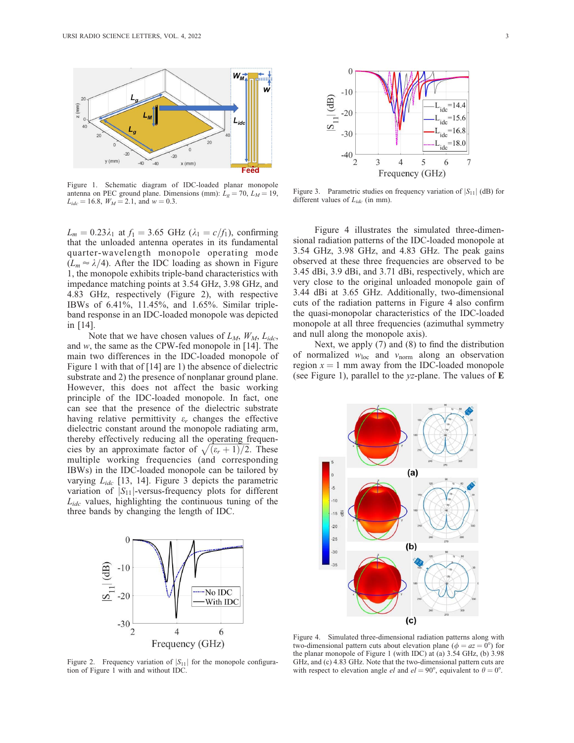

Figure 1. Schematic diagram of IDC-loaded planar monopole antenna on PEC ground plane. Dimensions (mm):  $\bar{L}_g = 70$ ,  $L_M = 19$ ,  $L_{ide} = 16.8$ ,  $W_M = 2.1$ , and  $w = 0.3$ .

 $L_m = 0.23\lambda_1$  at  $f_1 = 3.65$  GHz ( $\lambda_1 = c/f_1$ ), confirming that the unloaded antenna operates in its fundamental quarter-wavelength monopole operating mode  $(L_m \approx \lambda/4)$ . After the IDC loading as shown in Figure 1, the monopole exhibits triple-band characteristics with impedance matching points at 3.54 GHz, 3.98 GHz, and 4.83 GHz, respectively (Figure 2), with respective IBWs of 6.41%, 11.45%, and 1.65%. Similar tripleband response in an IDC-loaded monopole was depicted in [14].

Note that we have chosen values of  $L_M$ ,  $W_M$ ,  $L_{ide}$ , and w, the same as the CPW-fed monopole in [14]. The main two differences in the IDC-loaded monopole of Figure 1 with that of [14] are 1) the absence of dielectric substrate and 2) the presence of nonplanar ground plane. However, this does not affect the basic working principle of the IDC-loaded monopole. In fact, one can see that the presence of the dielectric substrate having relative permittivity  $\varepsilon_r$  changes the effective dielectric constant around the monopole radiating arm, thereby effectively reducing all the operating frequen-Thereby energy reducing an the operating requencies by an approximate factor of  $\sqrt{(\varepsilon_r+1)/2}$ . These multiple working frequencies (and corresponding IBWs) in the IDC-loaded monopole can be tailored by varying  $L_{ide}$  [13, 14]. Figure 3 depicts the parametric variation of  $|S_{11}|$ -versus-frequency plots for different  $L_{ide}$  values, highlighting the continuous tuning of the three bands by changing the length of IDC.



Figure 2. Frequency variation of  $|S_{11}|$  for the monopole configuration of Figure 1 with and without IDC.



Figure 3. Parametric studies on frequency variation of  $|S_{11}|$  (dB) for different values of  $L_{ide}$  (in mm).

Figure 4 illustrates the simulated three-dimensional radiation patterns of the IDC-loaded monopole at 3.54 GHz, 3.98 GHz, and 4.83 GHz. The peak gains observed at these three frequencies are observed to be 3.45 dBi, 3.9 dBi, and 3.71 dBi, respectively, which are very close to the original unloaded monopole gain of 3.44 dBi at 3.65 GHz. Additionally, two-dimensional cuts of the radiation patterns in Figure 4 also confirm the quasi-monopolar characteristics of the IDC-loaded monopole at all three frequencies (azimuthal symmetry and null along the monopole axis).

Next, we apply (7) and (8) to find the distribution of normalized  $w_{loc}$  and  $v_{norm}$  along an observation region  $x = 1$  mm away from the IDC-loaded monopole (see Figure 1), parallel to the  $yz$ -plane. The values of  $E$ 



Figure 4. Simulated three-dimensional radiation patterns along with two-dimensional pattern cuts about elevation plane ( $\phi = az = 0^{\circ}$ ) for the planar monopole of Figure 1 (with IDC) at (a) 3.54 GHz, (b) 3.98 GHz, and (c) 4.83 GHz. Note that the two-dimensional pattern cuts are with respect to elevation angle *el* and  $el = 90^{\circ}$ , equivalent to  $\theta = 0^{\circ}$ .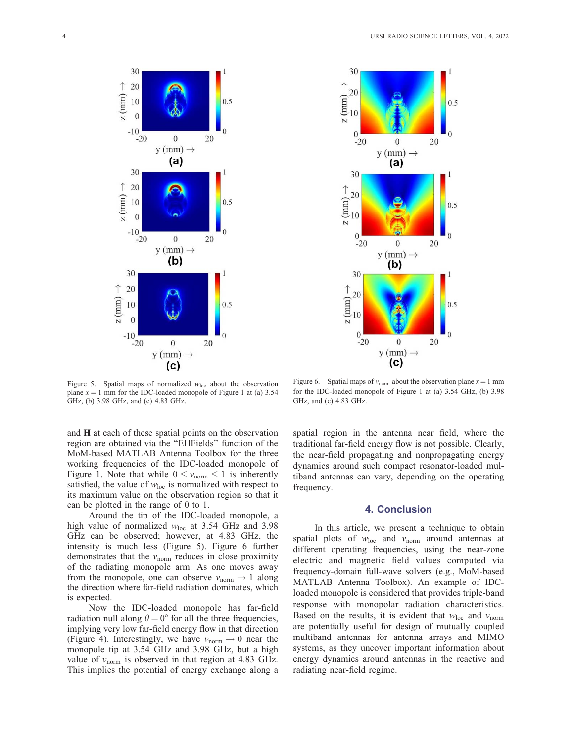



Figure 5. Spatial maps of normalized  $w_{loc}$  about the observation plane  $x = 1$  mm for the IDC-loaded monopole of Figure 1 at (a) 3.54 GHz, (b) 3.98 GHz, and (c) 4.83 GHz.

and H at each of these spatial points on the observation region are obtained via the ''EHFields'' function of the MoM-based MATLAB Antenna Toolbox for the three working frequencies of the IDC-loaded monopole of Figure 1. Note that while  $0 \le v_{\text{norm}} \le 1$  is inherently satisfied, the value of  $w_{loc}$  is normalized with respect to its maximum value on the observation region so that it can be plotted in the range of 0 to 1.

Around the tip of the IDC-loaded monopole, a high value of normalized  $w_{\text{loc}}$  at 3.54 GHz and 3.98 GHz can be observed; however, at 4.83 GHz, the intensity is much less (Figure 5). Figure 6 further demonstrates that the  $v_{\text{norm}}$  reduces in close proximity of the radiating monopole arm. As one moves away from the monopole, one can observe  $v_{\text{norm}} \rightarrow 1$  along the direction where far-field radiation dominates, which is expected.

Now the IDC-loaded monopole has far-field radiation null along  $\theta = 0^{\circ}$  for all the three frequencies, implying very low far-field energy flow in that direction (Figure 4). Interestingly, we have  $v_{\text{norm}} \rightarrow 0$  near the monopole tip at 3.54 GHz and 3.98 GHz, but a high value of  $v_{\text{norm}}$  is observed in that region at 4.83 GHz. This implies the potential of energy exchange along a

Figure 6. Spatial maps of  $v_{\text{norm}}$  about the observation plane  $x = 1$  mm for the IDC-loaded monopole of Figure 1 at (a) 3.54 GHz, (b) 3.98 GHz, and (c) 4.83 GHz.

spatial region in the antenna near field, where the traditional far-field energy flow is not possible. Clearly, the near-field propagating and nonpropagating energy dynamics around such compact resonator-loaded multiband antennas can vary, depending on the operating frequency.

## 4. Conclusion

In this article, we present a technique to obtain spatial plots of  $w_{loc}$  and  $v_{norm}$  around antennas at different operating frequencies, using the near-zone electric and magnetic field values computed via frequency-domain full-wave solvers (e.g., MoM-based MATLAB Antenna Toolbox). An example of IDCloaded monopole is considered that provides triple-band response with monopolar radiation characteristics. Based on the results, it is evident that  $w_{loc}$  and  $v_{norm}$ are potentially useful for design of mutually coupled multiband antennas for antenna arrays and MIMO systems, as they uncover important information about energy dynamics around antennas in the reactive and radiating near-field regime.